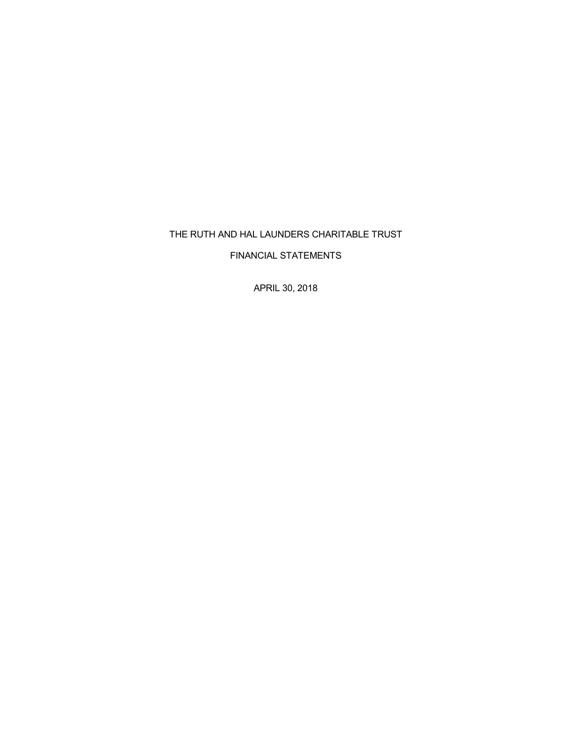# THE RUTH AND HAL LAUNDERS CHARITABLE TRUST

FINANCIAL STATEMENTS

APRIL 30, 2018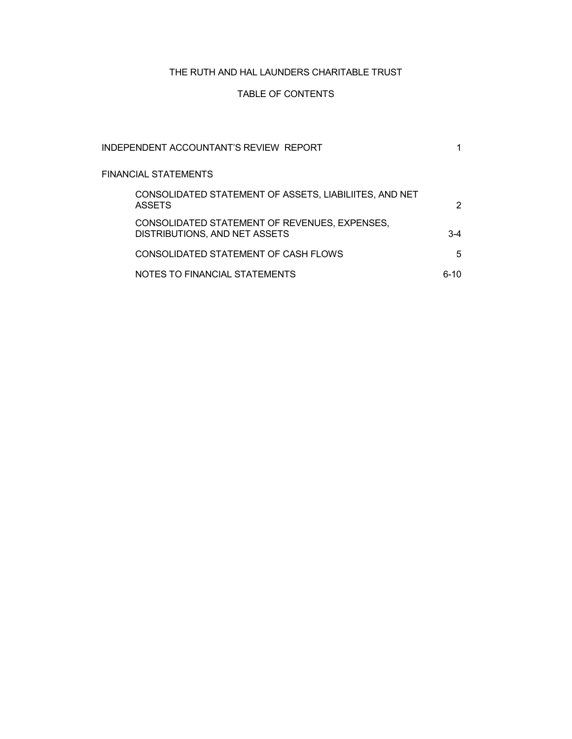# THE RUTH AND HAL LAUNDERS CHARITABLE TRUST

# TABLE OF CONTENTS

| INDEPENDENT ACCOUNTANT'S REVIEW REPORT                                         |       |
|--------------------------------------------------------------------------------|-------|
| FINANCIAL STATEMENTS                                                           |       |
| CONSOLIDATED STATEMENT OF ASSETS, LIABILIITES, AND NET<br><b>ASSETS</b>        | 2     |
| CONSOLIDATED STATEMENT OF REVENUES, EXPENSES,<br>DISTRIBUTIONS, AND NET ASSETS | $3-4$ |
| CONSOLIDATED STATEMENT OF CASH FLOWS                                           | 5     |
| NOTES TO FINANCIAL STATEMENTS                                                  | 6-10  |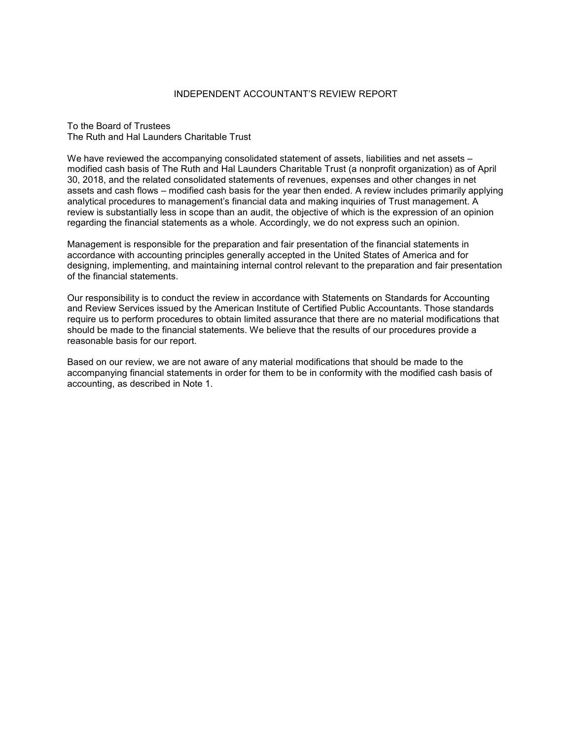# INDEPENDENT ACCOUNTANT'S REVIEW REPORT

To the Board of Trustees The Ruth and Hal Launders Charitable Trust

We have reviewed the accompanying consolidated statement of assets, liabilities and net assets – modified cash basis of The Ruth and Hal Launders Charitable Trust (a nonprofit organization) as of April 30, 2018, and the related consolidated statements of revenues, expenses and other changes in net assets and cash flows – modified cash basis for the year then ended. A review includes primarily applying analytical procedures to management's financial data and making inquiries of Trust management. A review is substantially less in scope than an audit, the objective of which is the expression of an opinion regarding the financial statements as a whole. Accordingly, we do not express such an opinion.

Management is responsible for the preparation and fair presentation of the financial statements in accordance with accounting principles generally accepted in the United States of America and for designing, implementing, and maintaining internal control relevant to the preparation and fair presentation of the financial statements.

Our responsibility is to conduct the review in accordance with Statements on Standards for Accounting and Review Services issued by the American Institute of Certified Public Accountants. Those standards require us to perform procedures to obtain limited assurance that there are no material modifications that should be made to the financial statements. We believe that the results of our procedures provide a reasonable basis for our report.

Based on our review, we are not aware of any material modifications that should be made to the accompanying financial statements in order for them to be in conformity with the modified cash basis of accounting, as described in Note 1.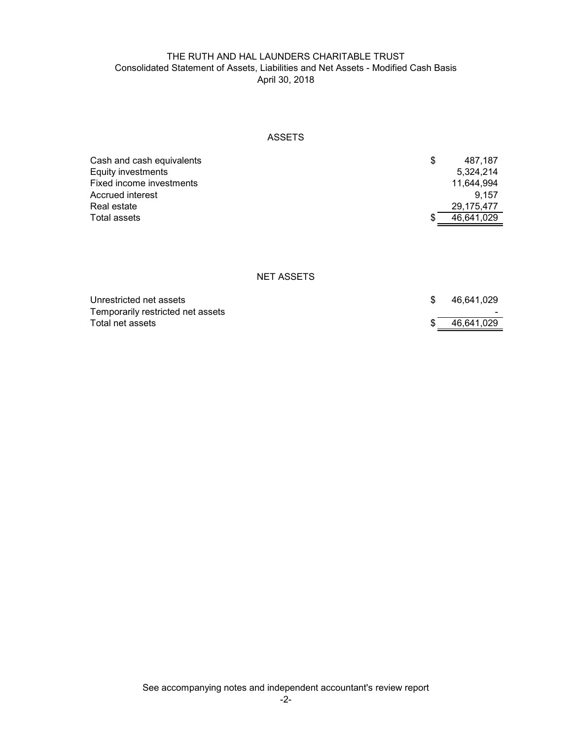# THE RUTH AND HAL LAUNDERS CHARITABLE TRUST Consolidated Statement of Assets, Liabilities and Net Assets - Modified Cash Basis April 30, 2018

# ASSETS

| Cash and cash equivalents | S | 487.187    |
|---------------------------|---|------------|
| Equity investments        |   | 5.324.214  |
| Fixed income investments  |   | 11.644.994 |
| Accrued interest          |   | 9.157      |
| Real estate               |   | 29.175.477 |
| Total assets              |   | 46.641.029 |

## NET ASSETS

| Unrestricted net assets           | 46.641.029 |
|-----------------------------------|------------|
| Temporarily restricted net assets | $\sim$     |
| Total net assets                  | 46.641.029 |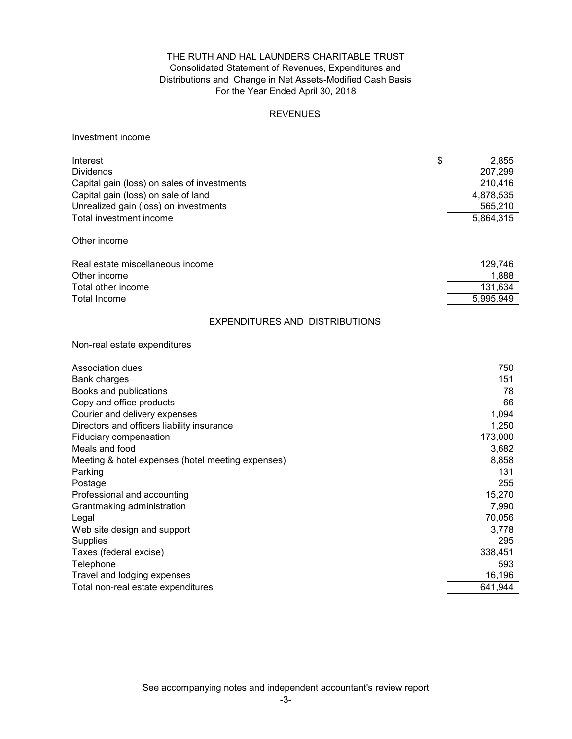# THE RUTH AND HAL LAUNDERS CHARITABLE TRUST Consolidated Statement of Revenues, Expenditures and For the Year Ended April 30, 2018 Distributions and Change in Net Assets-Modified Cash Basis

# REVENUES

# Investment income

| \$<br>Interest<br><b>Dividends</b><br>Capital gain (loss) on sales of investments<br>Capital gain (loss) on sale of land<br>Unrealized gain (loss) on investments<br>Total investment income<br>Other income | 2,855<br>207,299<br>210,416<br>4,878,535<br>565,210<br>5,864,315 |
|--------------------------------------------------------------------------------------------------------------------------------------------------------------------------------------------------------------|------------------------------------------------------------------|
| Real estate miscellaneous income                                                                                                                                                                             | 129,746                                                          |
| Other income                                                                                                                                                                                                 | 1,888                                                            |
| Total other income                                                                                                                                                                                           | 131,634                                                          |
| <b>Total Income</b>                                                                                                                                                                                          | 5,995,949                                                        |
| <b>EXPENDITURES AND DISTRIBUTIONS</b>                                                                                                                                                                        |                                                                  |
| Non-real estate expenditures                                                                                                                                                                                 |                                                                  |
| Association dues                                                                                                                                                                                             | 750                                                              |
| <b>Bank charges</b>                                                                                                                                                                                          | 151                                                              |
| Books and publications                                                                                                                                                                                       | 78                                                               |
| Copy and office products                                                                                                                                                                                     | 66                                                               |
| Courier and delivery expenses                                                                                                                                                                                | 1,094                                                            |
| Directors and officers liability insurance                                                                                                                                                                   | 1,250                                                            |
| Fiduciary compensation                                                                                                                                                                                       | 173,000                                                          |
| Meals and food                                                                                                                                                                                               | 3,682<br>8,858                                                   |
| Meeting & hotel expenses (hotel meeting expenses)<br>Parking                                                                                                                                                 | 131                                                              |
| Postage                                                                                                                                                                                                      | 255                                                              |
| Professional and accounting                                                                                                                                                                                  | 15,270                                                           |
| Grantmaking administration                                                                                                                                                                                   | 7,990                                                            |
| Legal                                                                                                                                                                                                        | 70,056                                                           |
| Web site design and support                                                                                                                                                                                  | 3,778                                                            |
| Supplies                                                                                                                                                                                                     | 295                                                              |
| Taxes (federal excise)                                                                                                                                                                                       | 338,451                                                          |
| Telephone                                                                                                                                                                                                    | 593                                                              |
| Travel and lodging expenses                                                                                                                                                                                  | 16,196                                                           |
| Total non-real estate expenditures                                                                                                                                                                           | 641,944                                                          |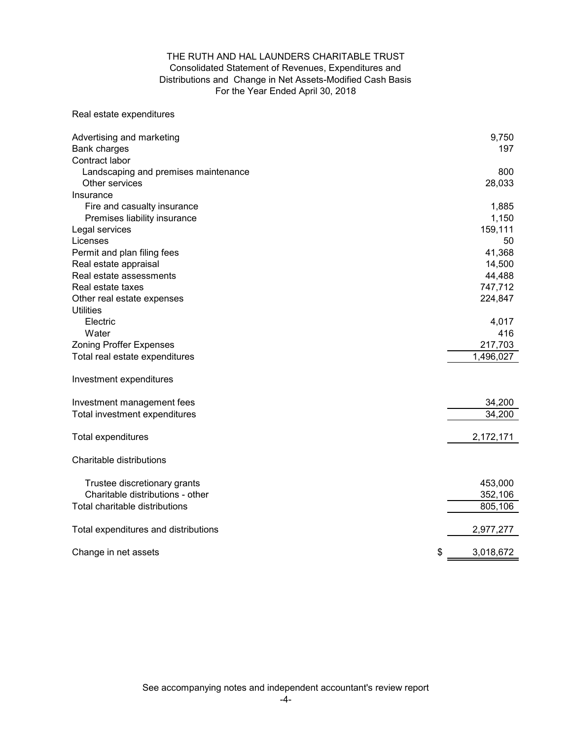# THE RUTH AND HAL LAUNDERS CHARITABLE TRUST Consolidated Statement of Revenues, Expenditures and For the Year Ended April 30, 2018 Distributions and Change in Net Assets-Modified Cash Basis

# Real estate expenditures

| Advertising and marketing<br><b>Bank charges</b>       | 9,750<br>197 |
|--------------------------------------------------------|--------------|
| Contract labor<br>Landscaping and premises maintenance | 800          |
| Other services                                         | 28,033       |
| Insurance                                              |              |
| Fire and casualty insurance                            | 1,885        |
| Premises liability insurance                           | 1,150        |
| Legal services                                         | 159,111      |
| Licenses                                               | 50           |
| Permit and plan filing fees                            | 41,368       |
| Real estate appraisal                                  | 14,500       |
| Real estate assessments                                | 44,488       |
| Real estate taxes                                      | 747,712      |
| Other real estate expenses                             | 224,847      |
| <b>Utilities</b>                                       |              |
| Electric                                               | 4,017        |
| Water                                                  | 416          |
| <b>Zoning Proffer Expenses</b>                         | 217,703      |
| Total real estate expenditures                         | 1,496,027    |
|                                                        |              |
| Investment expenditures                                |              |
| Investment management fees                             | 34,200       |
| Total investment expenditures                          | 34,200       |
|                                                        |              |
| Total expenditures                                     | 2,172,171    |
| Charitable distributions                               |              |
| Trustee discretionary grants                           | 453,000      |
| Charitable distributions - other                       | 352,106      |
| Total charitable distributions                         | 805, 106     |
|                                                        |              |
| Total expenditures and distributions                   | 2,977,277    |
| \$<br>Change in net assets                             | 3,018,672    |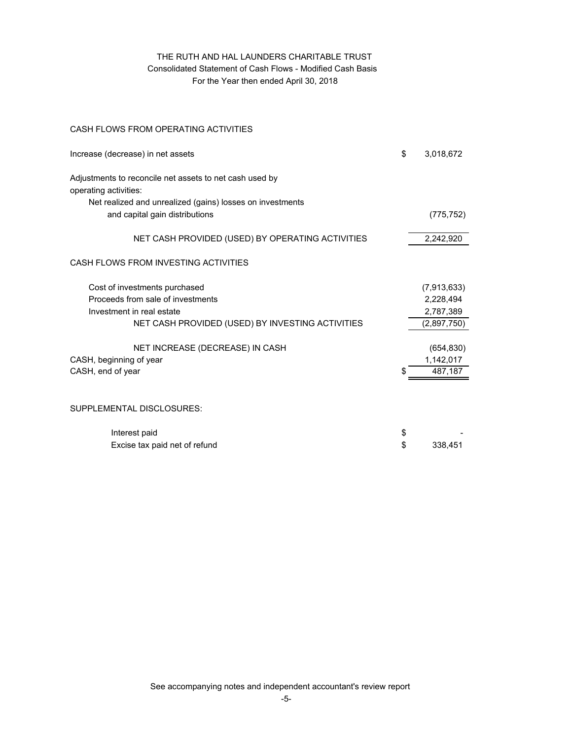# THE RUTH AND HAL LAUNDERS CHARITABLE TRUST Consolidated Statement of Cash Flows - Modified Cash Basis For the Year then ended April 30, 2018

# CASH FLOWS FROM OPERATING ACTIVITIES

| \$<br>Increase (decrease) in net assets                                                     | 3,018,672   |
|---------------------------------------------------------------------------------------------|-------------|
| Adjustments to reconcile net assets to net cash used by<br>operating activities:            |             |
| Net realized and unrealized (gains) losses on investments<br>and capital gain distributions | (775, 752)  |
| NET CASH PROVIDED (USED) BY OPERATING ACTIVITIES                                            | 2,242,920   |
| CASH FLOWS FROM INVESTING ACTIVITIES                                                        |             |
| Cost of investments purchased                                                               | (7,913,633) |
| Proceeds from sale of investments                                                           | 2,228,494   |
| Investment in real estate                                                                   | 2,787,389   |
| NET CASH PROVIDED (USED) BY INVESTING ACTIVITIES                                            | (2,897,750) |
| NET INCREASE (DECREASE) IN CASH                                                             | (654, 830)  |
| CASH, beginning of year                                                                     | 1,142,017   |
| CASH, end of year                                                                           | 487,187     |
|                                                                                             |             |
| SUPPLEMENTAL DISCLOSURES:                                                                   |             |
| Interest paid<br>\$                                                                         |             |
| \$<br>Excise tax paid net of refund                                                         | 338,451     |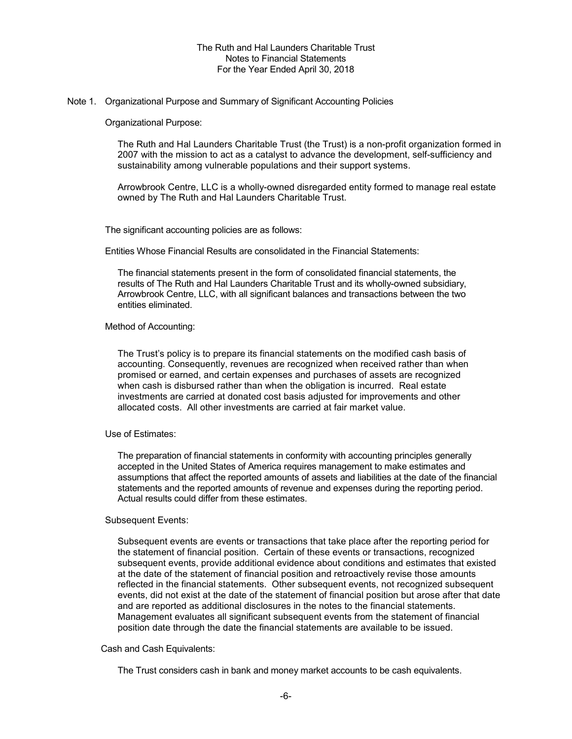## Note 1. Organizational Purpose and Summary of Significant Accounting Policies

Organizational Purpose:

The Ruth and Hal Launders Charitable Trust (the Trust) is a non-profit organization formed in 2007 with the mission to act as a catalyst to advance the development, self-sufficiency and sustainability among vulnerable populations and their support systems.

Arrowbrook Centre, LLC is a wholly-owned disregarded entity formed to manage real estate owned by The Ruth and Hal Launders Charitable Trust.

The significant accounting policies are as follows:

Entities Whose Financial Results are consolidated in the Financial Statements:

The financial statements present in the form of consolidated financial statements, the results of The Ruth and Hal Launders Charitable Trust and its wholly-owned subsidiary, Arrowbrook Centre, LLC, with all significant balances and transactions between the two entities eliminated.

Method of Accounting:

The Trust's policy is to prepare its financial statements on the modified cash basis of accounting. Consequently, revenues are recognized when received rather than when promised or earned, and certain expenses and purchases of assets are recognized when cash is disbursed rather than when the obligation is incurred. Real estate investments are carried at donated cost basis adjusted for improvements and other allocated costs. All other investments are carried at fair market value.

#### Use of Estimates:

The preparation of financial statements in conformity with accounting principles generally accepted in the United States of America requires management to make estimates and assumptions that affect the reported amounts of assets and liabilities at the date of the financial statements and the reported amounts of revenue and expenses during the reporting period. Actual results could differ from these estimates.

#### Subsequent Events:

Subsequent events are events or transactions that take place after the reporting period for the statement of financial position. Certain of these events or transactions, recognized subsequent events, provide additional evidence about conditions and estimates that existed at the date of the statement of financial position and retroactively revise those amounts reflected in the financial statements. Other subsequent events, not recognized subsequent events, did not exist at the date of the statement of financial position but arose after that date and are reported as additional disclosures in the notes to the financial statements. Management evaluates all significant subsequent events from the statement of financial position date through the date the financial statements are available to be issued.

### Cash and Cash Equivalents:

The Trust considers cash in bank and money market accounts to be cash equivalents.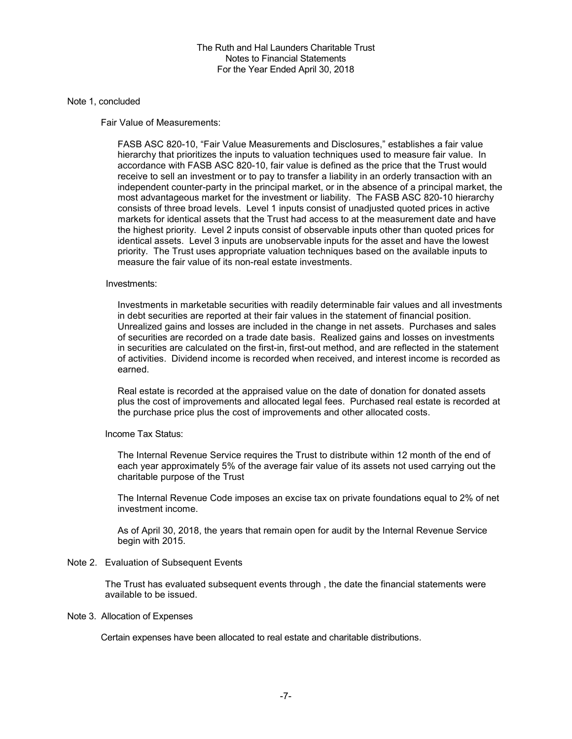### Note 1, concluded

Fair Value of Measurements:

FASB ASC 820-10, "Fair Value Measurements and Disclosures," establishes a fair value hierarchy that prioritizes the inputs to valuation techniques used to measure fair value. In accordance with FASB ASC 820-10, fair value is defined as the price that the Trust would receive to sell an investment or to pay to transfer a liability in an orderly transaction with an independent counter-party in the principal market, or in the absence of a principal market, the most advantageous market for the investment or liability. The FASB ASC 820-10 hierarchy consists of three broad levels. Level 1 inputs consist of unadjusted quoted prices in active markets for identical assets that the Trust had access to at the measurement date and have the highest priority. Level 2 inputs consist of observable inputs other than quoted prices for identical assets. Level 3 inputs are unobservable inputs for the asset and have the lowest priority. The Trust uses appropriate valuation techniques based on the available inputs to measure the fair value of its non-real estate investments.

## Investments:

Investments in marketable securities with readily determinable fair values and all investments in debt securities are reported at their fair values in the statement of financial position. Unrealized gains and losses are included in the change in net assets. Purchases and sales of securities are recorded on a trade date basis. Realized gains and losses on investments in securities are calculated on the first-in, first-out method, and are reflected in the statement of activities. Dividend income is recorded when received, and interest income is recorded as earned.

Real estate is recorded at the appraised value on the date of donation for donated assets plus the cost of improvements and allocated legal fees. Purchased real estate is recorded at the purchase price plus the cost of improvements and other allocated costs.

Income Tax Status:

The Internal Revenue Service requires the Trust to distribute within 12 month of the end of each year approximately 5% of the average fair value of its assets not used carrying out the charitable purpose of the Trust

The Internal Revenue Code imposes an excise tax on private foundations equal to 2% of net investment income.

As of April 30, 2018, the years that remain open for audit by the Internal Revenue Service begin with 2015.

#### Note 2. Evaluation of Subsequent Events

The Trust has evaluated subsequent events through , the date the financial statements were available to be issued.

#### Note 3. Allocation of Expenses

Certain expenses have been allocated to real estate and charitable distributions.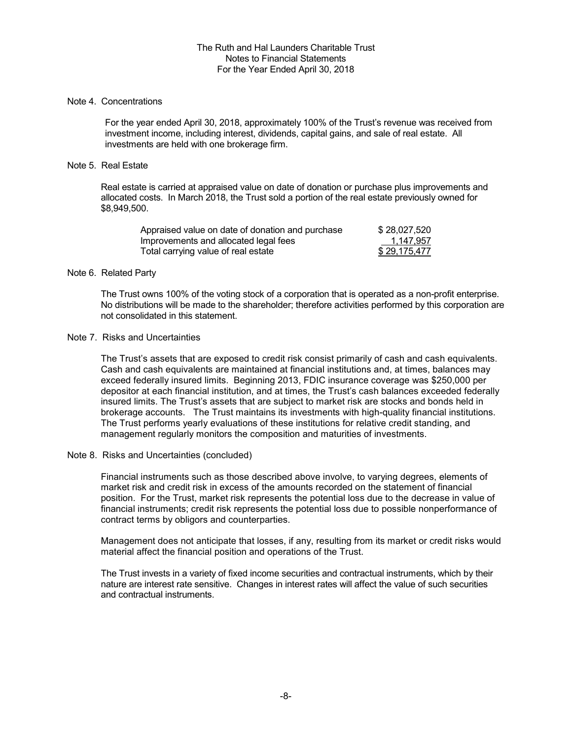## Note 4. Concentrations

For the year ended April 30, 2018, approximately 100% of the Trust's revenue was received from investment income, including interest, dividends, capital gains, and sale of real estate. All investments are held with one brokerage firm.

## Note 5. Real Estate

Real estate is carried at appraised value on date of donation or purchase plus improvements and allocated costs. In March 2018, the Trust sold a portion of the real estate previously owned for \$8,949,500.

| Appraised value on date of donation and purchase | \$28,027,520 |
|--------------------------------------------------|--------------|
| Improvements and allocated legal fees            | 1,147,957    |
| Total carrying value of real estate              | \$29,175,477 |

## Note 6. Related Party

The Trust owns 100% of the voting stock of a corporation that is operated as a non-profit enterprise. No distributions will be made to the shareholder; therefore activities performed by this corporation are not consolidated in this statement.

## Note 7. Risks and Uncertainties

The Trust's assets that are exposed to credit risk consist primarily of cash and cash equivalents. Cash and cash equivalents are maintained at financial institutions and, at times, balances may exceed federally insured limits. Beginning 2013, FDIC insurance coverage was \$250,000 per depositor at each financial institution, and at times, the Trust's cash balances exceeded federally insured limits. The Trust's assets that are subject to market risk are stocks and bonds held in brokerage accounts. The Trust maintains its investments with high-quality financial institutions. The Trust performs yearly evaluations of these institutions for relative credit standing, and management regularly monitors the composition and maturities of investments.

# Note 8. Risks and Uncertainties (concluded)

Financial instruments such as those described above involve, to varying degrees, elements of market risk and credit risk in excess of the amounts recorded on the statement of financial position. For the Trust, market risk represents the potential loss due to the decrease in value of financial instruments; credit risk represents the potential loss due to possible nonperformance of contract terms by obligors and counterparties.

Management does not anticipate that losses, if any, resulting from its market or credit risks would material affect the financial position and operations of the Trust.

The Trust invests in a variety of fixed income securities and contractual instruments, which by their nature are interest rate sensitive. Changes in interest rates will affect the value of such securities and contractual instruments.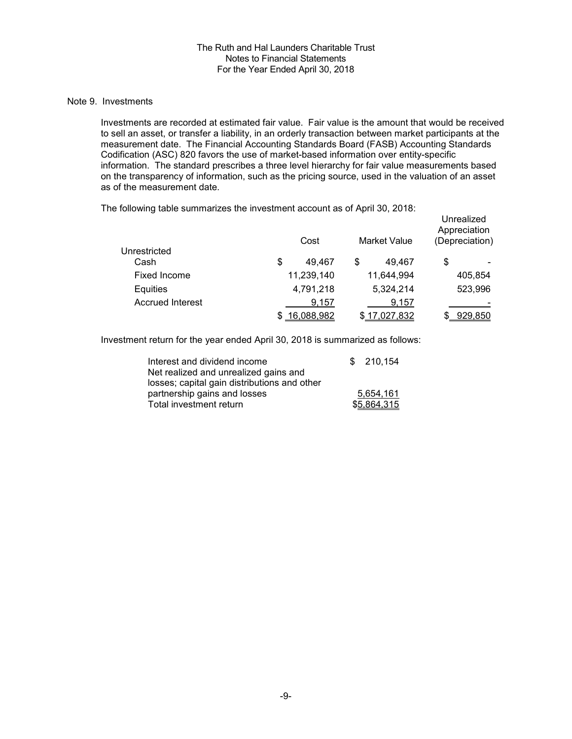## Note 9. Investments

Investments are recorded at estimated fair value. Fair value is the amount that would be received to sell an asset, or transfer a liability, in an orderly transaction between market participants at the measurement date. The Financial Accounting Standards Board (FASB) Accounting Standards Codification (ASC) 820 favors the use of market-based information over entity-specific information. The standard prescribes a three level hierarchy for fair value measurements based on the transparency of information, such as the pricing source, used in the valuation of an asset as of the measurement date.

| ້                       | Cost         | <b>Market Value</b> | Unrealized<br>Appreciation<br>(Depreciation) |
|-------------------------|--------------|---------------------|----------------------------------------------|
| Unrestricted<br>Cash    | \$<br>49.467 | 49.467<br>S         | \$                                           |
| Fixed Income            | 11,239,140   | 11,644,994          | 405,854                                      |
| Equities                | 4,791,218    | 5,324,214           | 523,996                                      |
| <b>Accrued Interest</b> | 9,157        | 9,157               |                                              |
|                         | 16,088,982   | 17,027,832          | 929,850                                      |

The following table summarizes the investment account as of April 30, 2018:

Investment return for the year ended April 30, 2018 is summarized as follows:

| Interest and dividend income                 | \$210.154   |
|----------------------------------------------|-------------|
| Net realized and unrealized gains and        |             |
| losses; capital gain distributions and other |             |
| partnership gains and losses                 | 5.654.161   |
| Total investment return                      | \$5,864,315 |